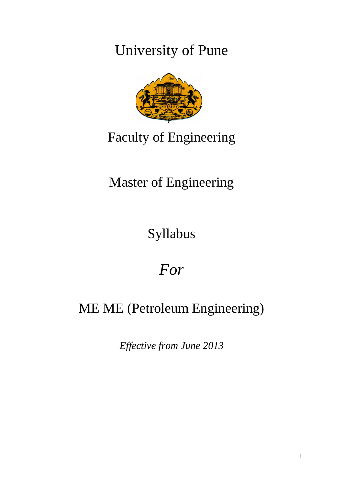University of Pune



# Faculty of Engineering

# Master of Engineering

Syllabus

# *For*

# ME ME (Petroleum Engineering)

*Effective from June 2013*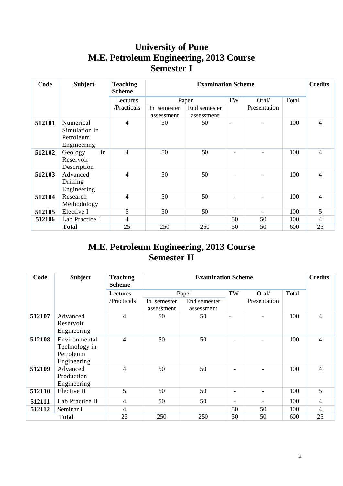# **University of Pune M.E. Petroleum Engineering, 2013 Course Semester I**

| Code   | <b>Subject</b>                                         | <b>Teaching</b><br><b>Scheme</b> | <b>Examination Scheme</b> |              |                          |              |       | <b>Credits</b> |
|--------|--------------------------------------------------------|----------------------------------|---------------------------|--------------|--------------------------|--------------|-------|----------------|
|        |                                                        |                                  | Paper                     |              | TW                       | Oral/        | Total |                |
|        |                                                        | /Practicals                      | In semester               | End semester |                          | Presentation |       |                |
|        |                                                        |                                  | assessment                | assessment   |                          |              |       |                |
| 512101 | Numerical<br>Simulation in<br>Petroleum<br>Engineering | $\overline{4}$                   | 50                        | 50           |                          |              | 100   | $\overline{4}$ |
| 512102 | in<br>Geology<br>Reservoir<br>Description              | 4                                | 50                        | 50           |                          |              | 100   | $\overline{4}$ |
| 512103 | Advanced<br>Drilling<br>Engineering                    | 4                                | 50                        | 50           |                          |              | 100   | $\overline{4}$ |
| 512104 | Research<br>Methodology                                | 4                                | 50                        | 50           |                          |              | 100   | $\overline{4}$ |
| 512105 | Elective I                                             | 5                                | 50                        | 50           | $\overline{\phantom{0}}$ |              | 100   | 5              |
| 512106 | Lab Practice I                                         | 4                                |                           |              | 50                       | 50           | 100   | 4              |
|        | <b>Total</b>                                           | 25                               | 250                       | 250          | 50                       | 50           | 600   | 25             |

# **M.E. Petroleum Engineering, 2013 Course Semester II**

| Code   | <b>Subject</b>                                             | <b>Teaching</b><br><b>Scheme</b> | <b>Examination Scheme</b> |                            |                          |              |       | <b>Credits</b> |
|--------|------------------------------------------------------------|----------------------------------|---------------------------|----------------------------|--------------------------|--------------|-------|----------------|
|        |                                                            | Lectures                         | Paper                     |                            | TW                       | Oral/        | Total |                |
|        |                                                            | /Practicals                      | In semester<br>assessment | End semester<br>assessment |                          | Presentation |       |                |
| 512107 | Advanced<br>Reservoir<br>Engineering                       | $\overline{4}$                   | 50                        | 50                         | $\overline{\phantom{a}}$ |              | 100   | $\overline{4}$ |
| 512108 | Environmental<br>Technology in<br>Petroleum<br>Engineering | 4                                | 50                        | 50                         |                          |              | 100   | $\overline{4}$ |
| 512109 | Advanced<br>Production<br>Engineering                      | $\overline{4}$                   | 50                        | 50                         | $\overline{\phantom{0}}$ |              | 100   | $\overline{4}$ |
| 512110 | Elective II                                                | 5                                | 50                        | 50                         | $\overline{\phantom{a}}$ |              | 100   | 5              |
| 512111 | Lab Practice II                                            | 4                                | 50                        | 50                         | ۰                        |              | 100   | 4              |
| 512112 | Seminar I                                                  | $\overline{4}$                   |                           |                            | 50                       | 50           | 100   | $\overline{4}$ |
|        | <b>Total</b>                                               | 25                               | 250                       | 250                        | 50                       | 50           | 600   | 25             |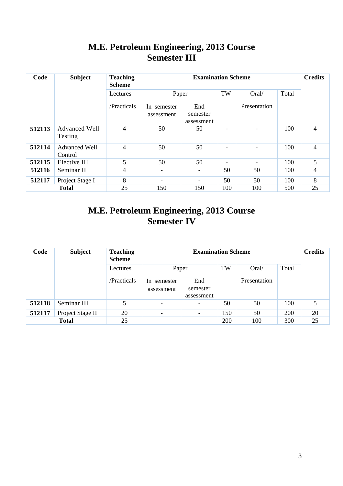# **M.E. Petroleum Engineering, 2013 Course Semester III**

| Code   | <b>Subject</b>                  | <b>Teaching</b><br><b>Scheme</b> |                           | <b>Credits</b>                |     |              |       |                |
|--------|---------------------------------|----------------------------------|---------------------------|-------------------------------|-----|--------------|-------|----------------|
|        |                                 | Lectures                         | Paper                     |                               | TW  | Oral/        | Total |                |
|        |                                 | /Practicals                      | In semester<br>assessment | End<br>semester<br>assessment |     | Presentation |       |                |
| 512113 | <b>Advanced Well</b><br>Testing | $\overline{4}$                   | 50                        | 50                            |     |              | 100   | $\overline{4}$ |
| 512114 | Advanced Well<br>Control        | 4                                | 50                        | 50                            | ۰   |              | 100   | $\overline{4}$ |
| 512115 | Elective III                    | 5                                | 50                        | 50                            | ۰   |              | 100   | 5              |
| 512116 | Seminar II                      | $\overline{4}$                   | $\overline{\phantom{0}}$  |                               | 50  | 50           | 100   | 4              |
| 512117 | Project Stage I                 | 8                                | -                         |                               | 50  | 50           | 100   | 8              |
|        | <b>Total</b>                    | 25                               | 150                       | 150                           | 100 | 100          | 500   | 25             |

# **M.E. Petroleum Engineering, 2013 Course Semester IV**

| Code   | <b>Subject</b>   | <b>Teaching</b><br><b>Scheme</b> |                               | <b>Credits</b>                |     |              |       |    |
|--------|------------------|----------------------------------|-------------------------------|-------------------------------|-----|--------------|-------|----|
|        |                  | Lectures                         | Paper                         |                               | TW  | Oral/        | Total |    |
|        |                  | /Practicals                      | In.<br>semester<br>assessment | End<br>semester<br>assessment |     | Presentation |       |    |
| 512118 | Seminar III      | 5                                | $\overline{\phantom{0}}$      | $\overline{\phantom{a}}$      | 50  | 50           | 100   |    |
| 512117 | Project Stage II | 20                               | $\overline{\phantom{a}}$      | $\overline{\phantom{0}}$      | 150 | 50           | 200   | 20 |
|        | <b>Total</b>     | 25                               |                               |                               | 200 | 100          | 300   | 25 |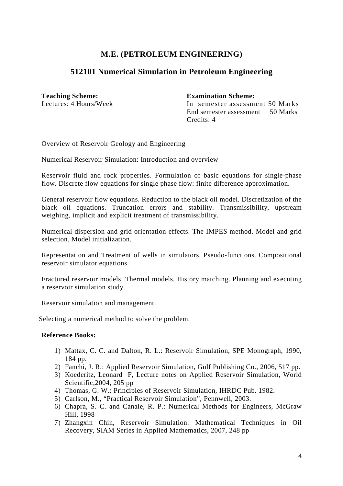# **512101 Numerical Simulation in Petroleum Engineering**

**Teaching Scheme: Examination Scheme:** 

Lectures: 4 Hours/Week In semester assessment 50 Marks End semester assessment 50 Marks Credits: 4

Overview of Reservoir Geology and Engineering

Numerical Reservoir Simulation: Introduction and overview

Reservoir fluid and rock properties. Formulation of basic equations for single-phase flow. Discrete flow equations for single phase flow: finite difference approximation.

General reservoir flow equations. Reduction to the black oil model. Discretization of the black oil equations. Truncation errors and stability. Transmissibility, upstream weighing, implicit and explicit treatment of transmissibility.

Numerical dispersion and grid orientation effects. The IMPES method. Model and grid selection. Model initialization.

Representation and Treatment of wells in simulators. Pseudo-functions. Compositional reservoir simulator equations.

Fractured reservoir models. Thermal models. History matching. Planning and executing a reservoir simulation study.

Reservoir simulation and management.

Selecting a numerical method to solve the problem.

- 1) Mattax, C. C. and Dalton, R. L.: Reservoir Simulation, SPE Monograph, 1990, 184 pp.
- 2) Fanchi, J. R.: Applied Reservoir Simulation, Gulf Publishing Co., 2006, 517 pp.
- 3) Koederitz, Leonard F, Lecture notes on Applied Reservoir Simulation, World Scientific,2004, 205 pp
- 4) Thomas, G. W.: Principles of Reservoir Simulation, IHRDC Pub. 1982.
- 5) Carlson, M., "Practical Reservoir Simulation", Pennwell, 2003.
- 6) Chapra, S. C. and Canale, R. P.: Numerical Methods for Engineers, McGraw Hill, 1998
- 7) Zhangxin Chin, Reservoir Simulation: Mathematical Techniques in Oil Recovery, SIAM Series in Applied Mathematics, 2007, 248 pp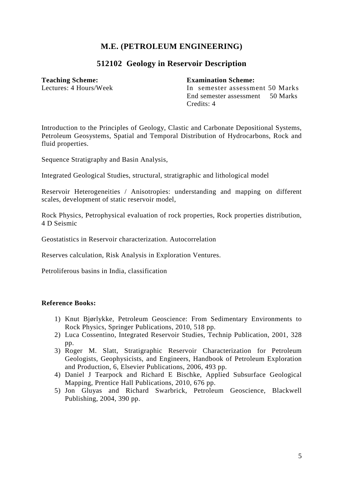# **512102 Geology in Reservoir Description**

#### **Teaching Scheme: Examination Scheme:**

Lectures: 4 Hours/Week In semester assessment 50 Marks End semester assessment 50 Marks Credits: 4

Introduction to the Principles of Geology, Clastic and Carbonate Depositional Systems, Petroleum Geosystems, Spatial and Temporal Distribution of Hydrocarbons, Rock and fluid properties.

Sequence Stratigraphy and Basin Analysis,

Integrated Geological Studies, structural, stratigraphic and lithological model

Reservoir Heterogeneities / Anisotropies: understanding and mapping on different scales, development of static reservoir model,

Rock Physics, Petrophysical evaluation of rock properties, Rock properties distribution, 4 D Seismic

Geostatistics in Reservoir characterization. Autocorrelation

Reserves calculation, Risk Analysis in Exploration Ventures.

Petroliferous basins in India, classification

- 1) Knut Bjørlykke, Petroleum Geoscience: From Sedimentary Environments to Rock Physics, Springer Publications, 2010, 518 pp.
- 2) Luca Cossentino, Integrated Reservoir Studies, Technip Publication, 2001, 328 pp.
- 3) Roger M. Slatt, Stratigraphic Reservoir Characterization for Petroleum Geologists, Geophysicists, and Engineers, Handbook of Petroleum Exploration and Production, 6, Elsevier Publications, 2006, 493 pp.
- 4) Daniel J Tearpock and Richard E Bischke, Applied Subsurface Geological Mapping, Prentice Hall Publications, 2010, 676 pp.
- 5) Jon Gluyas and Richard Swarbrick, Petroleum Geoscience, Blackwell Publishing, 2004, 390 pp.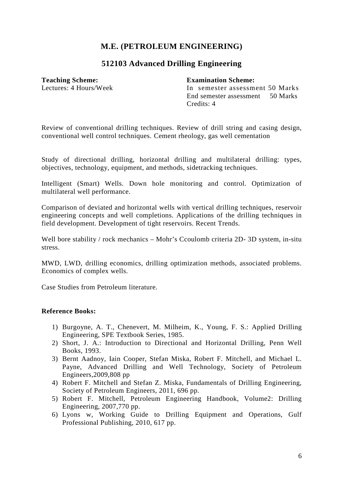## **512103 Advanced Drilling Engineering**

**Teaching Scheme: Examination Scheme:** 

Lectures: 4 Hours/Week In semester assessment 50 Marks End semester assessment 50 Marks Credits: 4

Review of conventional drilling techniques. Review of drill string and casing design, conventional well control techniques. Cement rheology, gas well cementation

Study of directional drilling, horizontal drilling and multilateral drilling: types, objectives, technology, equipment, and methods, sidetracking techniques.

Intelligent (Smart) Wells. Down hole monitoring and control. Optimization of multilateral well performance.

Comparison of deviated and horizontal wells with vertical drilling techniques, reservoir engineering concepts and well completions. Applications of the drilling techniques in field development. Development of tight reservoirs. Recent Trends.

Well bore stability / rock mechanics – Mohr's Ccoulomb criteria 2D- 3D system, in-situ stress.

MWD, LWD, drilling economics, drilling optimization methods, associated problems. Economics of complex wells.

Case Studies from Petroleum literature.

- 1) Burgoyne, A. T., Chenevert, M. Milheim, K., Young, F. S.: Applied Drilling Engineering, SPE Textbook Series, 1985.
- 2) Short, J. A.: Introduction to Directional and Horizontal Drilling, Penn Well Books, 1993.
- 3) Bernt Aadnoy, Iain Cooper, Stefan Miska, Robert F. Mitchell, and Michael L. Payne, Advanced Drilling and Well Technology, Society of Petroleum Engineers,2009,808 pp
- 4) Robert F. Mitchell and Stefan Z. Miska, Fundamentals of Drilling Engineering, Society of Petroleum Engineers, 2011, 696 pp.
- 5) Robert F. Mitchell, Petroleum Engineering Handbook, Volume2: Drilling Engineering, 2007,770 pp.
- 6) Lyons w, Working Guide to Drilling Equipment and Operations, Gulf Professional Publishing, 2010, 617 pp.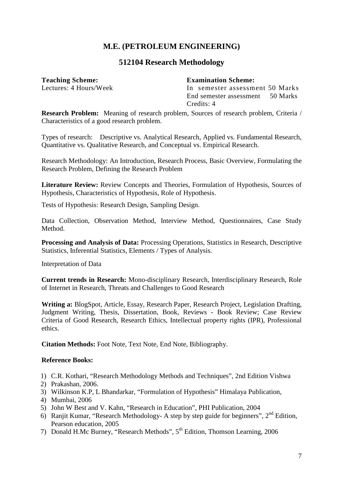### **512104 Research Methodology**

**Teaching Scheme: Examination Scheme:** 

Lectures: 4 Hours/Week In semester assessment 50 Marks End semester assessment 50 Marks Credits: 4

**Research Problem:** Meaning of research problem, Sources of research problem, Criteria / Characteristics of a good research problem.

Types of research: Descriptive vs. Analytical Research, Applied vs. Fundamental Research, Quantitative vs. Qualitative Research, and Conceptual vs. Empirical Research.

Research Methodology: An Introduction, Research Process, Basic Overview, Formulating the Research Problem, Defining the Research Problem

Literature Review: Review Concepts and Theories, Formulation of Hypothesis, Sources of Hypothesis, Characteristics of Hypothesis, Role of Hypothesis.

Tests of Hypothesis: Research Design, Sampling Design.

Data Collection, Observation Method, Interview Method, Questionnaires, Case Study Method.

**Processing and Analysis of Data:** Processing Operations, Statistics in Research, Descriptive Statistics, Inferential Statistics, Elements / Types of Analysis.

Interpretation of Data

**Current trends in Research:** Mono-disciplinary Research, Interdisciplinary Research, Role of Internet in Research, Threats and Challenges to Good Research

**Writing a:** BlogSpot, Article, Essay, Research Paper, Research Project, Legislation Drafting, Judgment Writing, Thesis, Dissertation, Book, Reviews - Book Review; Case Review Criteria of Good Research, Research Ethics, Intellectual property rights (IPR), Professional ethics.

**Citation Methods:** Foot Note, Text Note, End Note, Bibliography.

- 1) C.R. Kothari, "Research Methodology Methods and Techniques", 2nd Edition Vishwa
- 2) Prakashan, 2006.
- 3) Wilkinson K.P, L Bhandarkar, "Formulation of Hypothesis" Himalaya Publication,
- 4) Mumbai, 2006
- 5) John W Best and V. Kahn, "Research in Education", PHI Publication, 2004
- 6) Ranjit Kumar, "Research Methodology- A step by step guide for beginners",  $2<sup>nd</sup>$  Edition, Pearson education, 2005
- 7) Donald H.Mc Burney, "Research Methods", 5<sup>th</sup> Edition, Thomson Learning, 2006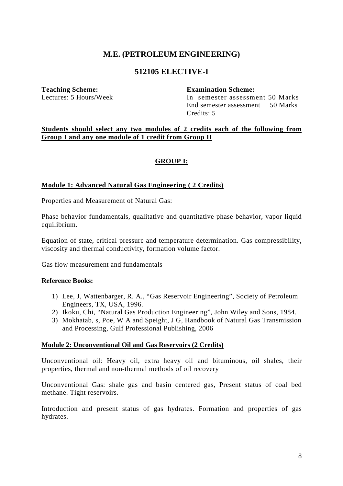### **512105 ELECTIVE-I**

**Teaching Scheme: Examination Scheme:** 

Lectures: 5 Hours/Week In semester assessment 50 Marks End semester assessment 50 Marks Credits: 5

#### **Students should select any two modules of 2 credits each of the following from Group I and any one module of 1 credit from Group II**

#### **GROUP I:**

#### **Module 1: Advanced Natural Gas Engineering ( 2 Credits)**

Properties and Measurement of Natural Gas:

Phase behavior fundamentals, qualitative and quantitative phase behavior, vapor liquid equilibrium.

Equation of state, critical pressure and temperature determination. Gas compressibility, viscosity and thermal conductivity, formation volume factor.

Gas flow measurement and fundamentals

#### **Reference Books:**

- 1) Lee, J, Wattenbarger, R. A., "Gas Reservoir Engineering", Society of Petroleum Engineers, TX, USA, 1996.
- 2) Ikoku, Chi, "Natural Gas Production Engineering", John Wiley and Sons, 1984.
- 3) Mokhatab, s, Poe, W A and Speight, J G, Handbook of Natural Gas Transmission and Processing, Gulf Professional Publishing, 2006

#### **Module 2: Unconventional Oil and Gas Reservoirs (2 Credits)**

Unconventional oil: Heavy oil, extra heavy oil and bituminous, oil shales, their properties, thermal and non-thermal methods of oil recovery

Unconventional Gas: shale gas and basin centered gas, Present status of coal bed methane. Tight reservoirs.

Introduction and present status of gas hydrates. Formation and properties of gas hydrates.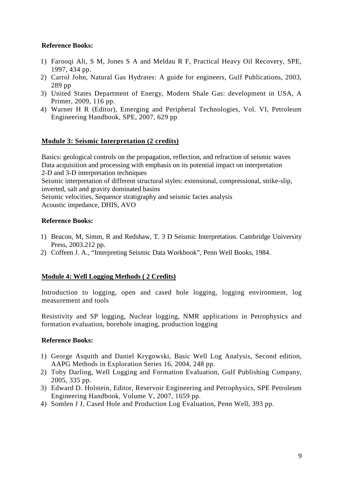### **Reference Books:**

- 1) Farooqi Ali, S M, Jones S A and Meldau R F, Practical Heavy Oil Recovery, SPE, 1997, 434 pp.
- 2) Carrol John, Natural Gas Hydrates: A guide for engineers, Gulf Publications, 2003, 289 pp
- 3) United States Department of Energy, Modern Shale Gas: development in USA, A Primer, 2009, 116 pp.
- 4) Warner H R (Editor), Emerging and Peripheral Technologies, Vol. VI, Petroleum Engineering Handbook, SPE, 2007, 629 pp

### **Module 3: Seismic Interpretation (2 credits)**

Basics: geological controls on the propagation, reflection, and refraction of seismic waves Data acquisition and processing with emphasis on its potential impact on interpretation 2-D and 3-D interpretation techniques Seismic interpretation of different structural styles: extensional, compressional, strike-slip, inverted, salt and gravity dominated basins Seismic velocities, Sequence stratigraphy and seismic facies analysis Acoustic impedance, DHIS, AVO

### **Reference Books:**

- 1) Beacon, M, Simm, R and Redshaw, T. 3 D Seismic Interpretation. Cambridge University Press, 2003.212 pp.
- 2) Coffeen J. A., "Interpreting Seismic Data Workbook", Penn Well Books, 1984.

### **Module 4: Well Logging Methods ( 2 Credits)**

Introduction to logging, open and cased hole logging, logging environment, log measurement and tools

Resistivity and SP logging, Nuclear logging, NMR applications in Petrophysics and formation evaluation, borehole imaging, production logging

- 1) George Asquith and Daniel Krygowski, Basic Well Log Analysis, Second edition, AAPG Methods in Exploration Series 16, 2004, 248 pp.
- 2) Toby Darling, Well Logging and Formation Evaluation, Gulf Publishing Company, 2005, 335 pp.
- 3) Edward D. Holstein, Editor, Reservoir Engineering and Petrophysics, SPE Petroleum Engineering Handbook, Volume V, 2007, 1659 pp.
- 4) Somlen J J, Cased Hole and Production Log Evaluation, Penn Well, 393 pp.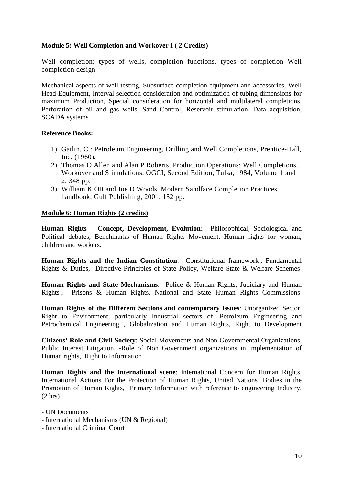### **Module 5: Well Completion and Workover I ( 2 Credits)**

Well completion: types of wells, completion functions, types of completion Well completion design

Mechanical aspects of well testing, Subsurface completion equipment and accessories, Well Head Equipment, Interval selection consideration and optimization of tubing dimensions for maximum Production, Special consideration for horizontal and multilateral completions, Perforation of oil and gas wells, Sand Control, Reservoir stimulation, Data acquisition, SCADA systems

#### **Reference Books:**

- 1) Gatlin, C.: Petroleum Engineering, Drilling and Well Completions, Prentice-Hall, Inc. (1960).
- 2) Thomas O Allen and Alan P Roberts, Production Operations: Well Completions, Workover and Stimulations, OGCI, Second Edition, Tulsa, 1984, Volume 1 and 2, 348 pp.
- 3) William K Ott and Joe D Woods, Modern Sandface Completion Practices handbook, Gulf Publishing, 2001, 152 pp.

#### **Module 6: Human Rights (2 credits)**

**Human Rights – Concept, Development, Evolution:** Philosophical, Sociological and Political debates, Benchmarks of Human Rights Movement, Human rights for woman, children and workers.

**Human Rights and the Indian Constitution**: Constitutional framework , Fundamental Rights & Duties, Directive Principles of State Policy, Welfare State & Welfare Schemes

**Human Rights and State Mechanisms**: Police & Human Rights, Judiciary and Human Rights , Prisons & Human Rights, National and State Human Rights Commissions

**Human Rights of the Different Sections and contemporary issues**: Unorganized Sector, Right to Environment, particularly Industrial sectors of Petroleum Engineering and Petrochemical Engineering , Globalization and Human Rights, Right to Development

**Citizens' Role and Civil Society**: Social Movements and Non-Governmental Organizations, Public Interest Litigation, -Role of Non Government organizations in implementation of Human rights, Right to Information

**Human Rights and the International scene**: International Concern for Human Rights, International Actions For the Protection of Human Rights, United Nations' Bodies in the Promotion of Human Rights, Primary Information with reference to engineering Industry.  $(2 \text{ hrs})$ 

- UN Documents

- International Mechanisms (UN & Regional)

- International Criminal Court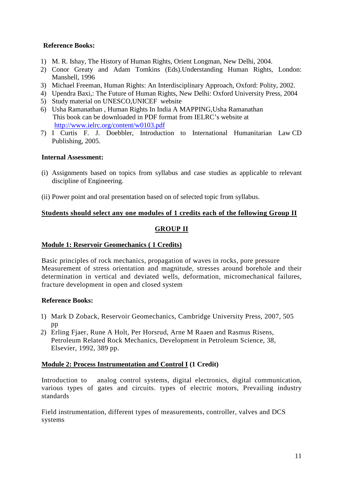### **Reference Books:**

- 1) M. R. Ishay, The History of Human Rights*,* Orient Longman, New Delhi, 2004.
- 2) Conor Greaty and Adam Tomkins (Eds).Understanding Human Rights, London: Manshell, 1996
- 3) Michael Freeman, Human Rights: An Interdisciplinary Approach, Oxford: Polity, 2002.
- 4) Upendra Baxi,: The Future of Human Rights, New Delhi: Oxford University Press, 2004
- 5) Study material on UNESCO,UNICEF website
- 6) Usha Ramanathan , Human Rights In India A MAPPING,Usha Ramanathan This book can be downloaded in PDF format from IELRC's website at http://www.ielrc.org/content/w0103.pdf
- 7) I Curtis F. J. Doebbler, Introduction to International Humanitarian Law CD Publishing, 2005.

#### **Internal Assessment:**

- (i) Assignments based on topics from syllabus and case studies as applicable to relevant discipline of Engineering.
- (ii) Power point and oral presentation based on of selected topic from syllabus.

### **Students should select any one modules of 1 credits each of the following Group II**

### **GROUP II**

#### **Module 1: Reservoir Geomechanics ( 1 Credits)**

Basic principles of rock mechanics, propagation of waves in rocks, pore pressure Measurement of stress orientation and magnitude, stresses around borehole and their determination in vertical and deviated wells, deformation, micromechanical failures, fracture development in open and closed system

### **Reference Books:**

- 1) Mark D Zoback, Reservoir Geomechanics, Cambridge University Press, 2007, 505 pp
- 2) Erling Fjaer, Rune A Holt, Per Horsrud, Arne M Raaen and Rasmus Risens, Petroleum Related Rock Mechanics, Development in Petroleum Science, 38, Elsevier, 1992, 389 pp.

#### **Module 2: Process Instrumentation and Control I (1 Credit)**

Introduction to analog control systems, digital electronics, digital communication, various types of gates and circuits. types of electric motors, Prevailing industry standards

Field instrumentation, different types of measurements, controller, valves and DCS systems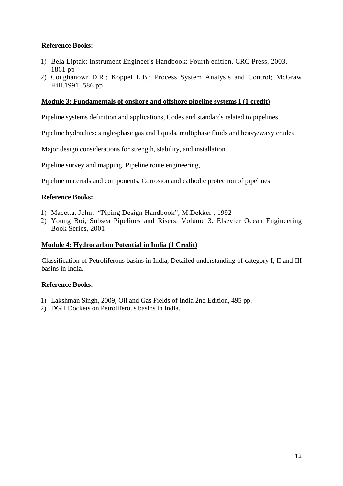### **Reference Books:**

- 1) Bela Liptak; Instrument Engineer's Handbook; Fourth edition, CRC Press, 2003, 1861 pp
- 2) Coughanowr D.R.; Koppel L.B.; Process System Analysis and Control; McGraw Hill.1991, 586 pp

#### **Module 3: Fundamentals of onshore and offshore pipeline systems I (1 credit)**

Pipeline systems definition and applications, Codes and standards related to pipelines

Pipeline hydraulics: single-phase gas and liquids, multiphase fluids and heavy/waxy crudes

Major design considerations for strength, stability, and installation

Pipeline survey and mapping, Pipeline route engineering,

Pipeline materials and components, Corrosion and cathodic protection of pipelines

#### **Reference Books:**

- 1) Macetta, John. "Piping Design Handbook", M.Dekker , 1992
- 2) Young Boi, Subsea Pipelines and Risers. Volume 3. Elsevier Ocean Engineering Book Series, 2001

#### **Module 4: Hydrocarbon Potential in India (1 Credit)**

Classification of Petroliferous basins in India, Detailed understanding of category I, II and III basins in India.

- 1) Lakshman Singh, 2009, Oil and Gas Fields of India 2nd Edition, 495 pp.
- 2) DGH Dockets on Petroliferous basins in India.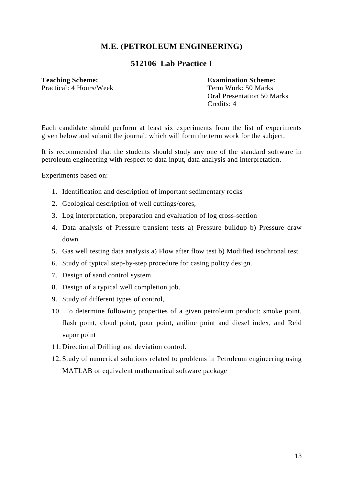# **512106 Lab Practice I**

### **Teaching Scheme: Examination Scheme:**

Practical: 4 Hours/Week Term Work: 50 Marks

 Oral Presentation 50 Marks Credits: 4

Each candidate should perform at least six experiments from the list of experiments given below and submit the journal, which will form the term work for the subject.

It is recommended that the students should study any one of the standard software in petroleum engineering with respect to data input, data analysis and interpretation.

Experiments based on:

- 1. Identification and description of important sedimentary rocks
- 2. Geological description of well cuttings/cores,
- 3. Log interpretation, preparation and evaluation of log cross-section
- 4. Data analysis of Pressure transient tests a) Pressure buildup b) Pressure draw down
- 5. Gas well testing data analysis a) Flow after flow test b) Modified isochronal test.
- 6. Study of typical step-by-step procedure for casing policy design.
- 7. Design of sand control system.
- 8. Design of a typical well completion job.
- 9. Study of different types of control,
- 10. To determine following properties of a given petroleum product: smoke point, flash point, cloud point, pour point, aniline point and diesel index, and Reid vapor point
- 11. Directional Drilling and deviation control.
- 12. Study of numerical solutions related to problems in Petroleum engineering using MATLAB or equivalent mathematical software package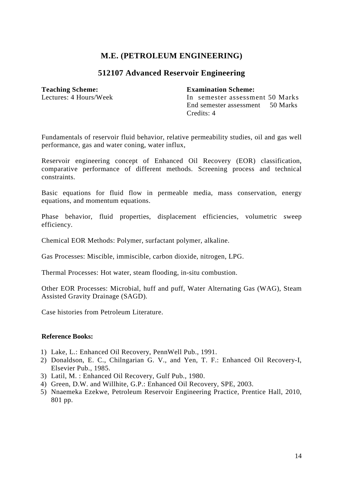### **512107 Advanced Reservoir Engineering**

#### **Teaching Scheme: Examination Scheme:**

Lectures: 4 Hours/Week In semester assessment 50 Marks End semester assessment 50 Marks Credits: 4

Fundamentals of reservoir fluid behavior, relative permeability studies, oil and gas well performance, gas and water coning, water influx,

Reservoir engineering concept of Enhanced Oil Recovery (EOR) classification, comparative performance of different methods. Screening process and technical constraints.

Basic equations for fluid flow in permeable media, mass conservation, energy equations, and momentum equations.

Phase behavior, fluid properties, displacement efficiencies, volumetric sweep efficiency.

Chemical EOR Methods: Polymer, surfactant polymer, alkaline.

Gas Processes: Miscible, immiscible, carbon dioxide, nitrogen, LPG.

Thermal Processes: Hot water, steam flooding, in-situ combustion.

Other EOR Processes: Microbial, huff and puff, Water Alternating Gas (WAG), Steam Assisted Gravity Drainage (SAGD).

Case histories from Petroleum Literature.

- 1) Lake, L.: Enhanced Oil Recovery, PennWell Pub., 1991.
- 2) Donaldson, E. C., Chilngarian G. V., and Yen, T. F.: Enhanced Oil Recovery-I, Elsevier Pub., 1985.
- 3) Latil, M. : Enhanced Oil Recovery, Gulf Pub., 1980.
- 4) Green, D.W. and Willhite, G.P.: Enhanced Oil Recovery, SPE, 2003.
- 5) Nnaemeka Ezekwe, Petroleum Reservoir Engineering Practice, Prentice Hall, 2010, 801 pp.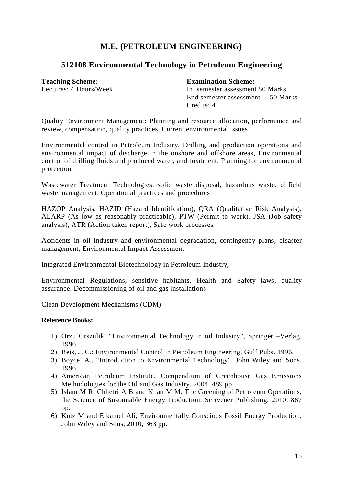# **512108 Environmental Technology in Petroleum Engineering**

#### **Teaching Scheme: Examination Scheme:**

Lectures: 4 Hours/Week In semester assessment 50 Marks End semester assessment 50 Marks Credits: 4

Quality Environment Management**:** Planning and resource allocation, performance and review, compensation, quality practices, Current environmental issues

Environmental control in Petroleum Industry, Drilling and production operations and environmental impact of discharge in the onshore and offshore areas, Environmental control of drilling fluids and produced water, and treatment. Planning for environmental protection.

Wastewater Treatment Technologies, solid waste disposal, hazardous waste, oilfield waste management. Operational practices and procedures

HAZOP Analysis, HAZID (Hazard Identification), QRA (Qualitative Risk Analysis), ALARP (As low as reasonably practicable), PTW (Permit to work), JSA (Job safety analysis), ATR (Action taken report), Safe work processes

Accidents in oil industry and environmental degradation, contingency plans, disaster management, Environmental Impact Assessment

Integrated Environmental Biotechnology in Petroleum Industry,

Environmental Regulations, sensitive habitants, Health and Safety laws, quality assurance. Decommissioning of oil and gas installations

Clean Development Mechanisms (CDM)

- 1) Orzu Orszulik, "Environmental Technology in oil Industry", Springer –Verlag, 1996.
- 2) Reis, J. C.: Environmental Control in Petroleum Engineering, Gulf Pubs. 1996.
- 3) Boyce, A., "Introduction to Environmental Technology", John Wiley and Sons, 1996
- 4) American Petroleum Institute, Compendium of Greenhouse Gas Emissions Methodologies for the Oil and Gas Industry. 2004. 489 pp.
- 5) Islam M R, Chhetri A B and Khan M M. The Greening of Petroleum Operations, the Science of Sustainable Energy Production, Scrivener Publishing, 2010, 867 pp.
- 6) Kutz M and Elkamel Ali, Environmentally Conscious Fossil Energy Production, John Wiley and Sons, 2010, 363 pp.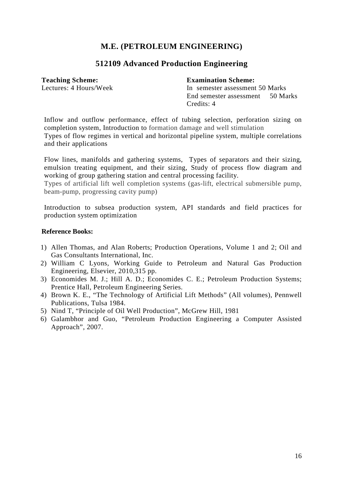# **512109 Advanced Production Engineering**

**Teaching Scheme: Examination Scheme:** 

Lectures: 4 Hours/Week In semester assessment 50 Marks End semester assessment 50 Marks Credits: 4

Inflow and outflow performance, effect of tubing selection, perforation sizing on completion system, Introduction to formation damage and well stimulation Types of flow regimes in vertical and horizontal pipeline system, multiple correlations and their applications

Flow lines, manifolds and gathering systems, Types of separators and their sizing, emulsion treating equipment, and their sizing, Study of process flow diagram and working of group gathering station and central processing facility.

Types of artificial lift well completion systems (gas-lift, electrical submersible pump, beam-pump, progressing cavity pump)

Introduction to subsea production system, API standards and field practices for production system optimization

- 1) Allen Thomas, and Alan Roberts; Production Operations, Volume 1 and 2; Oil and Gas Consultants International, Inc.
- 2) William C Lyons, Working Guide to Petroleum and Natural Gas Production Engineering, Elsevier, 2010,315 pp.
- 3) Economides M. J.; Hill A. D.; Economides C. E.; Petroleum Production Systems; Prentice Hall, Petroleum Engineering Series.
- 4) Brown K. E., "The Technology of Artificial Lift Methods" (All volumes), Pennwell Publications, Tulsa 1984.
- 5) Nind T, "Principle of Oil Well Production", McGrew Hill, 1981
- 6) Galambhor and Guo, "Petroleum Production Engineering a Computer Assisted Approach", 2007.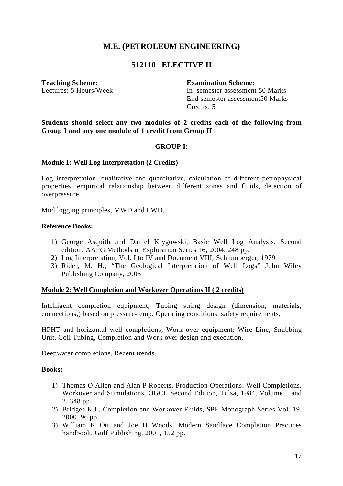# **512110 ELECTIVE II**

**Teaching Scheme: Examination Scheme:** 

Lectures: 5 Hours/Week In semester assessment 50 Marks End semester assessment50 Marks Credits: 5

#### **Students should select any two modules of 2 credits each of the following from Group I and any one module of 1 credit from Group II**

#### **GROUP I:**

#### **Module 1: Well Log Interpretation (2 Credits)**

Log interpretation, qualitative and quantitative, calculation of different petrophysical properties, empirical relationship between different zones and fluids, detection of overpressure

Mud logging principles, MWD and LWD.

#### **Reference Books:**

- 1) George Asquith and Daniel Krygowski, Basic Well Log Analysis, Second edition, AAPG Methods in Exploration Series 16, 2004, 248 pp.
- 2) Log Interpretation, Vol. I to IV and Document VIII; Schlumberger, 1979
- 3) Rider, M. H., "The Geological Interpretation of Well Logs" John Wiley Publishing Company, 2005

#### **Module 2: Well Completion and Workover Operations II ( 2 credits)**

Intelligent completion equipment, Tubing string design (dimension, materials, connections,) based on pressure-temp. Operating conditions, safety requirements,

HPHT and horizontal well completions, Work over equipment: Wire Line, Snubbing Unit, Coil Tubing, Completion and Work over design and execution,

Deepwater completions. Recent trends.

#### **Books:**

- 1) Thomas O Allen and Alan P Roberts, Production Operations: Well Completions, Workover and Stimulations, OGCI, Second Edition, Tulsa, 1984, Volume 1 and 2, 348 pp.
- 2) Bridges K.L, Completion and Workover Fluids, SPE Monograph Series Vol. 19, 2000, 96 pp.
- 3) William K Ott and Joe D Woods, Modern Sandface Completion Practices handbook, Gulf Publishing, 2001, 152 pp.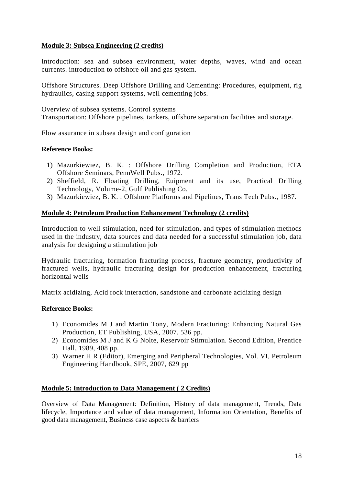### **Module 3: Subsea Engineering (2 credits)**

Introduction: sea and subsea environment, water depths, waves, wind and ocean currents. introduction to offshore oil and gas system.

Offshore Structures. Deep Offshore Drilling and Cementing: Procedures, equipment, rig hydraulics, casing support systems, well cementing jobs.

Overview of subsea systems. Control systems Transportation: Offshore pipelines, tankers, offshore separation facilities and storage.

Flow assurance in subsea design and configuration

#### **Reference Books:**

- 1) Mazurkiewiez, B. K. : Offshore Drilling Completion and Production, ETA Offshore Seminars, PennWell Pubs., 1972.
- 2) Sheffield, R. Floating Drilling, Euipment and its use, Practical Drilling Technology, Volume-2, Gulf Publishing Co.
- 3) Mazurkiewiez, B. K. : Offshore Platforms and Pipelines, Trans Tech Pubs., 1987.

#### **Module 4: Petroleum Production Enhancement Technology (2 credits)**

Introduction to well stimulation, need for stimulation, and types of stimulation methods used in the industry, data sources and data needed for a successful stimulation job, data analysis for designing a stimulation job

Hydraulic fracturing, formation fracturing process, fracture geometry, productivity of fractured wells, hydraulic fracturing design for production enhancement, fracturing horizontal wells

Matrix acidizing, Acid rock interaction, sandstone and carbonate acidizing design

#### **Reference Books:**

- 1) Economides M J and Martin Tony, Modern Fracturing: Enhancing Natural Gas Production, ET Publishing, USA, 2007. 536 pp.
- 2) Economides M J and K G Nolte, Reservoir Stimulation. Second Edition, Prentice Hall, 1989, 408 pp.
- 3) Warner H R (Editor), Emerging and Peripheral Technologies, Vol. VI, Petroleum Engineering Handbook, SPE, 2007, 629 pp

### **Module 5: Introduction to Data Management ( 2 Credits)**

Overview of Data Management: Definition, History of data management, Trends, Data lifecycle, Importance and value of data management, Information Orientation, Benefits of good data management, Business case aspects & barriers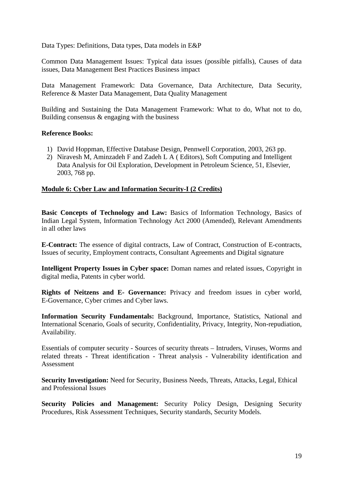Data Types: Definitions, Data types, Data models in E&P

Common Data Management Issues: Typical data issues (possible pitfalls), Causes of data issues, Data Management Best Practices Business impact

Data Management Framework: Data Governance, Data Architecture, Data Security, Reference & Master Data Management, Data Quality Management

Building and Sustaining the Data Management Framework: What to do, What not to do, Building consensus & engaging with the business

#### **Reference Books:**

- 1) David Hoppman, Effective Database Design, Pennwell Corporation, 2003, 263 pp.
- 2) Niravesh M, Aminzadeh F and Zadeh L A ( Editors), Soft Computing and Intelligent Data Analysis for Oil Exploration, Development in Petroleum Science, 51, Elsevier, 2003, 768 pp.

#### **Module 6: Cyber Law and Information Security-I (2 Credits)**

**Basic Concepts of Technology and Law:** Basics of Information Technology, Basics of Indian Legal System, Information Technology Act 2000 (Amended), Relevant Amendments in all other laws

**E-Contract:** The essence of digital contracts, Law of Contract, Construction of E-contracts, Issues of security, Employment contracts, Consultant Agreements and Digital signature

**Intelligent Property Issues in Cyber space:** Doman names and related issues, Copyright in digital media, Patents in cyber world.

**Rights of Neitzens and E- Governance:** Privacy and freedom issues in cyber world, E-Governance, Cyber crimes and Cyber laws.

**Information Security Fundamentals:** Background, Importance, Statistics, National and International Scenario, Goals of security, Confidentiality, Privacy, Integrity, Non-repudiation, Availability.

Essentials of computer security - Sources of security threats – Intruders, Viruses, Worms and related threats - Threat identification - Threat analysis - Vulnerability identification and Assessment

**Security Investigation:** Need for Security, Business Needs, Threats, Attacks, Legal, Ethical and Professional Issues

**Security Policies and Management:** Security Policy Design, Designing Security Procedures, Risk Assessment Techniques, Security standards, Security Models.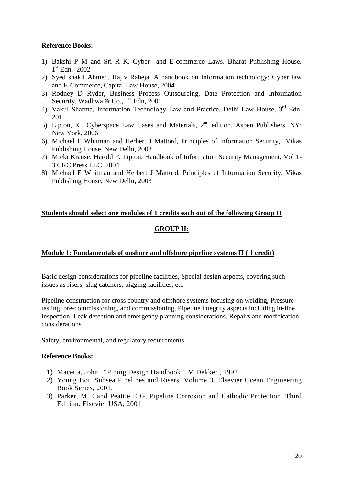### **Reference Books:**

- 1) Bakshi P M and Sri R K, Cyber and E-commerce Laws, Bharat Publishing House, 1 st Edn, 2002
- 2) Syed shakil Ahmed, Rajiv Raheja, A handbook on Information technology: Cyber law and E-Commerce, Capital Law House, 2004
- 3) Rodney D Ryder, Business Process Outsourcing, Date Protection and Information Security, Wadhwa & Co.,  $1<sup>st</sup>$  Edn, 2001
- 4) Vakul Sharma, Information Technology Law and Practice, Delhi Law House, 3rd Edn, 2011
- 5) Lipton, K., Cyberspace Law Cases and Materials,  $2<sup>nd</sup>$  edition. Aspen Publishers. NY: New York, 2006
- 6) Michael E Whitman and Herbert J Mattord, Principles of Information Security, Vikas Publishing House, New Delhi, 2003
- 7) Micki Krause, Harold F. Tipton, Handbook of Information Security Management, Vol 1- 3 CRC Press LLC, 2004.
- 8) Michael E Whitman and Herbert J Mattord, Principles of Information Security, Vikas Publishing House, New Delhi, 2003

# **Students should select one modules of 1 credits each out of the following Group II GROUP II:**

### **Module 1: Fundamentals of onshore and offshore pipeline systems II ( 1 credit)**

Basic design considerations for pipeline facilities, Special design aspects, covering such issues as risers, slug catchers, pigging facilities, etc

Pipeline construction for cross country and offshore systems focusing on welding, Pressure testing, pre-commissioning, and commissioning, Pipeline integrity aspects including in-line inspection, Leak detection and emergency planning considerations, Repairs and modification considerations

Safety, environmental, and regulatory requirements

- 1) Macetta, John. "Piping Design Handbook", M.Dekker , 1992
- 2) Young Boi, Subsea Pipelines and Risers. Volume 3. Elsevier Ocean Engineering Book Series, 2001.
- 3) Parker, M E and Peattie E G, Pipeline Corrosion and Cathodic Protection. Third Edition. Elsevier USA, 2001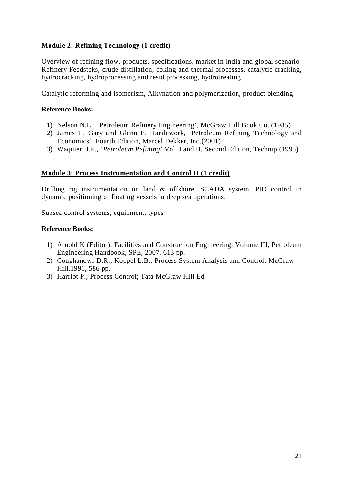### **Module 2: Refining Technology (1 credit)**

Overview of refining flow, products, specifications, market in India and global scenario Refinery Feedstcks, crude distillation, coking and thermal processes, catalytic cracking, hydrocracking, hydroprocessing and resid processing, hydrotreating

Catalytic reforming and isomerism, Alkynation and polymerization, product blending

#### **Reference Books:**

- 1) Nelson N.L., *'*Petroleum Refinery Engineering', McGraw Hill Book Co. (1985)
- 2) James H. Gary and Glenn E. Handework, 'Petroleum Refining Technology and Economics'*,* Fourth Edition, Marcel Dekker, Inc.(2001)
- 3) Waquier, J.P., *'Petroleum Refining'* Vol .I and II, Second Edition, Technip (1995)

#### **Module 3: Process Instrumentation and Control II (1 credit)**

Drilling rig instrumentation on land & offshore, SCADA system. PID control in dynamic positioning of floating vessels in deep sea operations.

Subsea control systems, equipment, types

- 1) Arnold K (Editor), Facilities and Construction Engineering, Volume III, Petroleum Engineering Handbook, SPE, 2007, 613 pp.
- 2) Coughanowr D.R.; Koppel L.B.; Process System Analysis and Control; McGraw Hill.1991, 586 pp.
- 3) Harriot P.; Process Control; Tata McGraw Hill Ed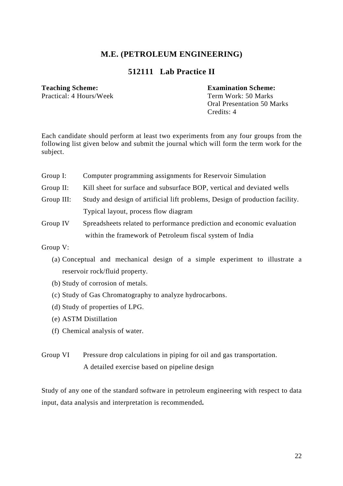# **512111 Lab Practice II**

Practical: 4 Hours/Week Term Work: 50 Marks

**Teaching Scheme: Examination Scheme:** 

 Oral Presentation 50 Marks Credits: 4

Each candidate should perform at least two experiments from any four groups from the following list given below and submit the journal which will form the term work for the subject.

- Group I: Computer programming assignments for Reservoir Simulation
- Group II: Kill sheet for surface and subsurface BOP, vertical and deviated wells
- Group III: Study and design of artificial lift problems, Design of production facility. Typical layout, process flow diagram
- Group IV Spreadsheets related to performance prediction and economic evaluation within the framework of Petroleum fiscal system of India

Group V:

- (a) Conceptual and mechanical design of a simple experiment to illustrate a reservoir rock/fluid property.
- (b) Study of corrosion of metals.
- (c) Study of Gas Chromatography to analyze hydrocarbons.
- (d) Study of properties of LPG.
- (e) ASTM Distillation
- (f) Chemical analysis of water.
- Group VI Pressure drop calculations in piping for oil and gas transportation. A detailed exercise based on pipeline design

Study of any one of the standard software in petroleum engineering with respect to data input, data analysis and interpretation is recommended**.**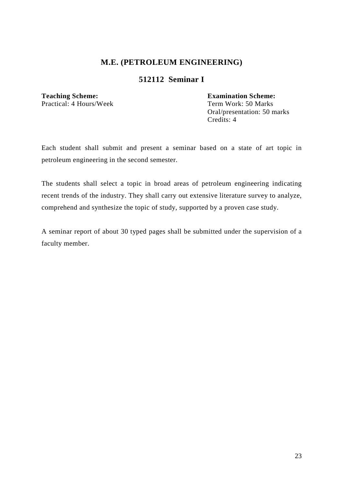# **512112 Seminar I**

# **Teaching Scheme: Examination Scheme:**

Practical: 4 Hours/Week Term Work: 50 Marks Oral/presentation: 50 marks Credits: 4

Each student shall submit and present a seminar based on a state of art topic in petroleum engineering in the second semester.

The students shall select a topic in broad areas of petroleum engineering indicating recent trends of the industry. They shall carry out extensive literature survey to analyze, comprehend and synthesize the topic of study, supported by a proven case study.

A seminar report of about 30 typed pages shall be submitted under the supervision of a faculty member.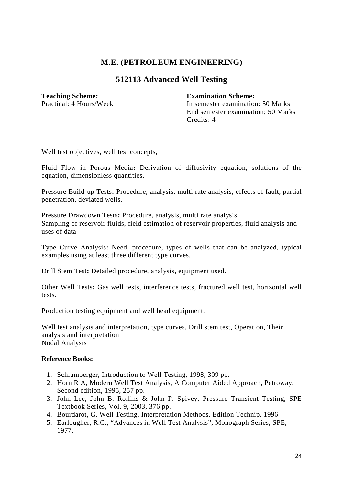# **512113 Advanced Well Testing**

#### **Teaching Scheme: Examination Scheme:**

Practical: 4 Hours/Week In semester examination: 50 Marks End semester examination; 50 Marks Credits: 4

Well test objectives, well test concepts,

Fluid Flow in Porous Media**:** Derivation of diffusivity equation, solutions of the equation, dimensionless quantities.

Pressure Build-up Tests**:** Procedure, analysis, multi rate analysis, effects of fault, partial penetration, deviated wells.

Pressure Drawdown Tests**:** Procedure, analysis, multi rate analysis. Sampling of reservoir fluids, field estimation of reservoir properties, fluid analysis and uses of data

Type Curve Analysis**:** Need, procedure, types of wells that can be analyzed, typical examples using at least three different type curves.

Drill Stem Test**:** Detailed procedure, analysis, equipment used.

Other Well Tests**:** Gas well tests, interference tests, fractured well test, horizontal well tests.

Production testing equipment and well head equipment.

Well test analysis and interpretation, type curves, Drill stem test, Operation, Their analysis and interpretation Nodal Analysis

- 1. Schlumberger, Introduction to Well Testing, 1998, 309 pp.
- 2. Horn R A, Modern Well Test Analysis, A Computer Aided Approach, Petroway, Second edition, 1995, 257 pp.
- 3. John Lee, John B. Rollins & John P. Spivey, Pressure Transient Testing, SPE Textbook Series, Vol. 9, 2003, 376 pp.
- 4. Bourdarot, G. Well Testing, Interpretation Methods. Edition Technip. 1996
- 5. Earlougher, R.C., "Advances in Well Test Analysis", Monograph Series, SPE, 1977.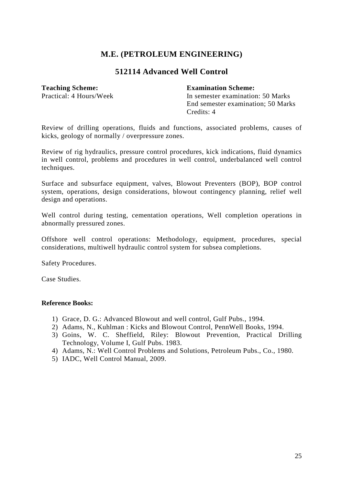## **512114 Advanced Well Control**

**Teaching Scheme:**<br> **Faction Scheme:**<br> **Faction Scheme:**<br> **Faction Scheme:**<br> **Faction Scheme:**<br> **Faction Scheme:**<br> **Faction Scheme:**<br> **Faction Scheme:** In semester examination: 50 Marks End semester examination; 50 Marks Credits: 4

Review of drilling operations, fluids and functions, associated problems, causes of kicks, geology of normally / overpressure zones.

Review of rig hydraulics, pressure control procedures, kick indications, fluid dynamics in well control, problems and procedures in well control, underbalanced well control techniques.

Surface and subsurface equipment, valves, Blowout Preventers (BOP), BOP control system, operations, design considerations, blowout contingency planning, relief well design and operations.

Well control during testing, cementation operations, Well completion operations in abnormally pressured zones.

Offshore well control operations: Methodology, equipment, procedures, special considerations, multiwell hydraulic control system for subsea completions.

Safety Procedures.

Case Studies.

- 1) Grace, D. G.: Advanced Blowout and well control, Gulf Pubs., 1994.
- 2) Adams, N., Kuhlman : Kicks and Blowout Control, PennWell Books, 1994.
- 3) Goins, W. C. Sheffield, Riley: Blowout Prevention, Practical Drilling Technology, Volume I, Gulf Pubs. 1983.
- 4) Adams, N.: Well Control Problems and Solutions, Petroleum Pubs., Co., 1980.
- 5) IADC, Well Control Manual, 2009.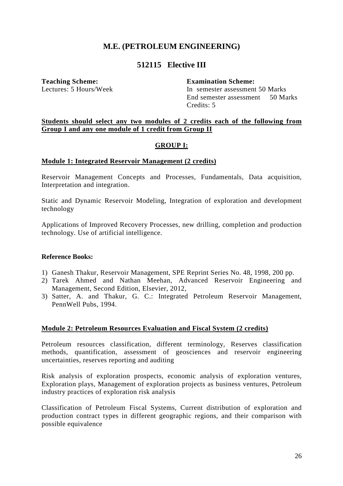# **512115 Elective III**

**Teaching Scheme: Examination Scheme:** 

Lectures: 5 Hours/Week In semester assessment 50 Marks End semester assessment 50 Marks Credits: 5

#### **Students should select any two modules of 2 credits each of the following from Group I and any one module of 1 credit from Group II**

#### **GROUP I:**

#### **Module 1: Integrated Reservoir Management (2 credits)**

Reservoir Management Concepts and Processes, Fundamentals, Data acquisition, Interpretation and integration.

Static and Dynamic Reservoir Modeling, Integration of exploration and development technology

Applications of Improved Recovery Processes, new drilling, completion and production technology. Use of artificial intelligence.

#### **Reference Books:**

- 1) Ganesh Thakur, Reservoir Management, SPE Reprint Series No. 48, 1998, 200 pp.
- 2) Tarek Ahmed and Nathan Meehan, Advanced Reservoir Engineering and Management, Second Edition, Elsevier, 2012,
- 3) Satter, A. and Thakur, G. C.: Integrated Petroleum Reservoir Management, PennWell Pubs, 1994.

### **Module 2: Petroleum Resources Evaluation and Fiscal System (2 credits)**

Petroleum resources classification, different terminology, Reserves classification methods, quantification, assessment of geosciences and reservoir engineering uncertainties, reserves reporting and auditing

Risk analysis of exploration prospects, economic analysis of exploration ventures, Exploration plays, Management of exploration projects as business ventures, Petroleum industry practices of exploration risk analysis

Classification of Petroleum Fiscal Systems, Current distribution of exploration and production contract types in different geographic regions, and their comparison with possible equivalence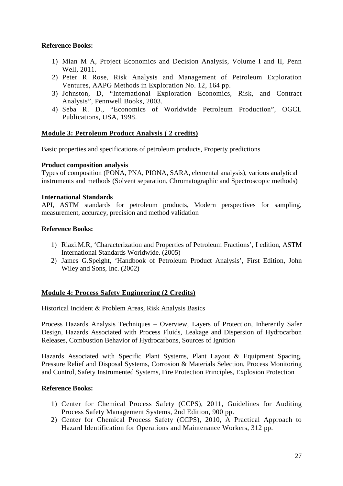### **Reference Books:**

- 1) Mian M A, Project Economics and Decision Analysis, Volume I and II, Penn Well, 2011.
- 2) Peter R Rose, Risk Analysis and Management of Petroleum Exploration Ventures, AAPG Methods in Exploration No. 12, 164 pp.
- 3) Johnston, D, "International Exploration Economics, Risk, and Contract Analysis", Pennwell Books, 2003.
- 4) Seba R. D., "Economics of Worldwide Petroleum Production", OGCL Publications, USA, 1998.

#### **Module 3: Petroleum Product Analysis ( 2 credits)**

Basic properties and specifications of petroleum products, Property predictions

#### **Product composition analysis**

Types of composition (PONA, PNA, PIONA, SARA, elemental analysis), various analytical instruments and methods (Solvent separation, Chromatographic and Spectroscopic methods)

#### **International Standards**

API, ASTM standards for petroleum products, Modern perspectives for sampling, measurement, accuracy, precision and method validation

#### **Reference Books:**

- 1) Riazi.M.R, 'Characterization and Properties of Petroleum Fractions', I edition, ASTM International Standards Worldwide. (2005)
- 2) James G.Speight, 'Handbook of Petroleum Product Analysis', First Edition, John Wiley and Sons, Inc. (2002)

#### **Module 4: Process Safety Engineering (2 Credits)**

Historical Incident & Problem Areas, Risk Analysis Basics

Process Hazards Analysis Techniques – Overview, Layers of Protection, Inherently Safer Design, Hazards Associated with Process Fluids, Leakage and Dispersion of Hydrocarbon Releases, Combustion Behavior of Hydrocarbons, Sources of Ignition

Hazards Associated with Specific Plant Systems, Plant Layout & Equipment Spacing, Pressure Relief and Disposal Systems, Corrosion & Materials Selection, Process Monitoring and Control, Safety Instrumented Systems, Fire Protection Principles, Explosion Protection

- 1) Center for Chemical Process Safety (CCPS), 2011, Guidelines for Auditing Process Safety Management Systems, 2nd Edition, 900 pp.
- 2) Center for Chemical Process Safety (CCPS), 2010, A Practical Approach to Hazard Identification for Operations and Maintenance Workers, 312 pp.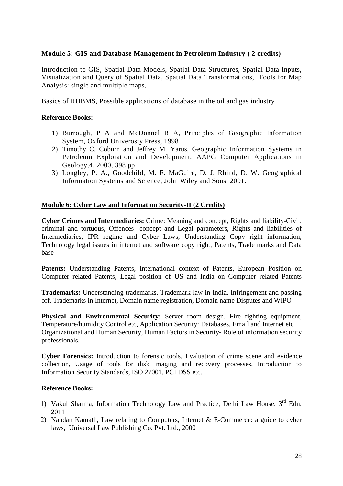### **Module 5: GIS and Database Management in Petroleum Industry ( 2 credits)**

Introduction to GIS, Spatial Data Models, Spatial Data Structures, Spatial Data Inputs, Visualization and Query of Spatial Data, Spatial Data Transformations, Tools for Map Analysis: single and multiple maps,

Basics of RDBMS, Possible applications of database in the oil and gas industry

#### **Reference Books:**

- 1) Burrough, P A and McDonnel R A, Principles of Geographic Information System, Oxford Univerosty Press, 1998
- 2) Timothy C. Coburn and Jeffrey M. Yarus, Geographic Information Systems in Petroleum Exploration and Development, AAPG Computer Applications in Geology,4, 2000, 398 pp
- 3) Longley, P. A., Goodchild, M. F. MaGuire, D. J. Rhind, D. W. Geographical Information Systems and Science, John Wiley and Sons, 2001.

#### **Module 6: Cyber Law and Information Security-II (2 Credits)**

**Cyber Crimes and Intermediaries:** Crime: Meaning and concept, Rights and liability-Civil, criminal and tortuous, Offences- concept and Legal parameters, Rights and liabilities of Intermediaries, IPR regime and Cyber Laws, Understanding Copy right information, Technology legal issues in internet and software copy right, Patents, Trade marks and Data base

Patents: Understanding Patents, International context of Patents, European Position on Computer related Patents, Legal position of US and India on Computer related Patents

**Trademarks:** Understanding trademarks, Trademark law in India, Infringement and passing off, Trademarks in Internet, Domain name registration, Domain name Disputes and WIPO

**Physical and Environmental Security:** Server room design, Fire fighting equipment, Temperature/humidity Control etc, Application Security: Databases, Email and Internet etc Organizational and Human Security, Human Factors in Security- Role of information security professionals.

**Cyber Forensics:** Introduction to forensic tools, Evaluation of crime scene and evidence collection, Usage of tools for disk imaging and recovery processes, Introduction to Information Security Standards, ISO 27001, PCI DSS etc.

- 1) Vakul Sharma, Information Technology Law and Practice, Delhi Law House, 3rd Edn, 2011
- 2) Nandan Kamath, Law relating to Computers, Internet & E-Commerce: a guide to cyber laws, Universal Law Publishing Co. Pvt. Ltd., 2000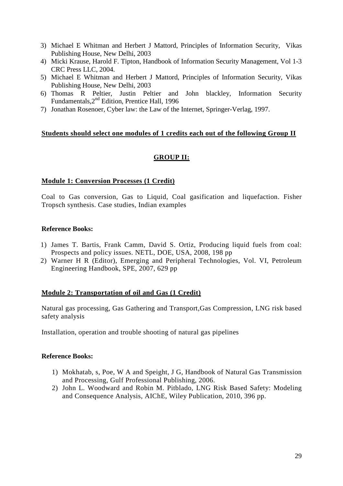- 3) Michael E Whitman and Herbert J Mattord, Principles of Information Security, Vikas Publishing House, New Delhi, 2003
- 4) Micki Krause, Harold F. Tipton, Handbook of Information Security Management, Vol 1-3 CRC Press LLC, 2004.
- 5) Michael E Whitman and Herbert J Mattord, Principles of Information Security, Vikas Publishing House, New Delhi, 2003
- 6) Thomas R Peltier, Justin Peltier and John blackley, Information Security Fundamentals,2nd Edition, Prentice Hall, 1996
- 7) Jonathan Rosenoer, Cyber law: the Law of the Internet, Springer-Verlag, 1997.

### **Students should select one modules of 1 credits each out of the following Group II**

### **GROUP II:**

#### **Module 1: Conversion Processes (1 Credit)**

Coal to Gas conversion, Gas to Liquid, Coal gasification and liquefaction. Fisher Tropsch synthesis. Case studies, Indian examples

#### **Reference Books:**

- 1) James T. Bartis, Frank Camm, David S. Ortiz, Producing liquid fuels from coal: Prospects and policy issues. NETL, DOE, USA, 2008, 198 pp
- 2) Warner H R (Editor), Emerging and Peripheral Technologies, Vol. VI, Petroleum Engineering Handbook, SPE, 2007, 629 pp

### **Module 2: Transportation of oil and Gas (1 Credit)**

Natural gas processing, Gas Gathering and Transport,Gas Compression, LNG risk based safety analysis

Installation, operation and trouble shooting of natural gas pipelines

- 1) Mokhatab, s, Poe, W A and Speight, J G, Handbook of Natural Gas Transmission and Processing, Gulf Professional Publishing, 2006.
- 2) John L. Woodward and Robin M. Pitblado, LNG Risk Based Safety: Modeling and Consequence Analysis, AIChE, Wiley Publication, 2010, 396 pp.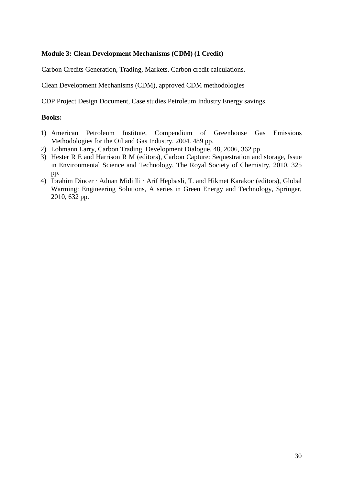### **Module 3: Clean Development Mechanisms (CDM) (1 Credit)**

Carbon Credits Generation, Trading, Markets. Carbon credit calculations.

Clean Development Mechanisms (CDM), approved CDM methodologies

CDP Project Design Document, Case studies Petroleum Industry Energy savings.

#### **Books:**

- 1) American Petroleum Institute, Compendium of Greenhouse Gas Emissions Methodologies for the Oil and Gas Industry. 2004. 489 pp.
- 2) Lohmann Larry, Carbon Trading, Development Dialogue, 48, 2006, 362 pp.
- 3) Hester R E and Harrison R M (editors), Carbon Capture: Sequestration and storage, Issue in Environmental Science and Technology, The Royal Society of Chemistry, 2010, 325 pp.
- 4) Ibrahim Dincer · Adnan Midi lli · Arif Hepbasli, T. and Hikmet Karakoc (editors), Global Warming: Engineering Solutions, A series in Green Energy and Technology, Springer, 2010, 632 pp.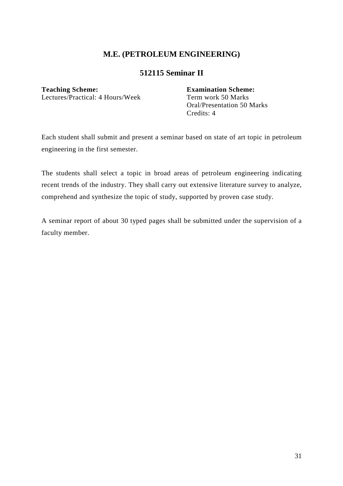## **512115 Seminar II**

Lectures/Practical: 4 Hours/Week Term work 50 Marks

**Teaching Scheme: Examination Scheme:**  Oral/Presentation 50 Marks Credits: 4

Each student shall submit and present a seminar based on state of art topic in petroleum engineering in the first semester.

The students shall select a topic in broad areas of petroleum engineering indicating recent trends of the industry. They shall carry out extensive literature survey to analyze, comprehend and synthesize the topic of study, supported by proven case study.

A seminar report of about 30 typed pages shall be submitted under the supervision of a faculty member.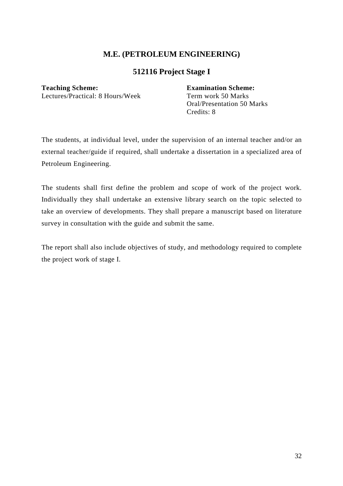# **512116 Project Stage I**

#### **Teaching Scheme: Examination Scheme:**

Lectures/Practical: 8 Hours/Week Term work 50 Marks

 Oral/Presentation 50 Marks Credits: 8

The students, at individual level, under the supervision of an internal teacher and/or an external teacher/guide if required, shall undertake a dissertation in a specialized area of Petroleum Engineering.

The students shall first define the problem and scope of work of the project work. Individually they shall undertake an extensive library search on the topic selected to take an overview of developments. They shall prepare a manuscript based on literature survey in consultation with the guide and submit the same.

The report shall also include objectives of study, and methodology required to complete the project work of stage I.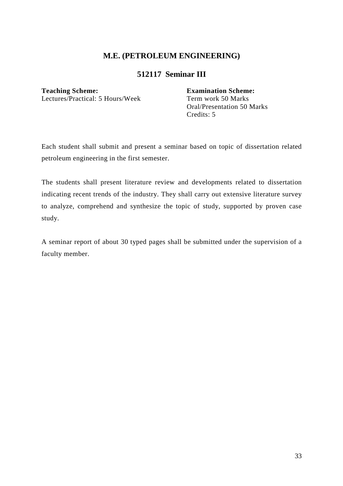# **512117 Seminar III**

Lectures/Practical: 5 Hours/Week

**Teaching Scheme:**<br>
Lectures/Practical: 5 Hours/Week<br>
Term work 50 Marks Oral/Presentation 50 Marks Credits: 5

Each student shall submit and present a seminar based on topic of dissertation related petroleum engineering in the first semester.

The students shall present literature review and developments related to dissertation indicating recent trends of the industry. They shall carry out extensive literature survey to analyze, comprehend and synthesize the topic of study, supported by proven case study.

A seminar report of about 30 typed pages shall be submitted under the supervision of a faculty member.